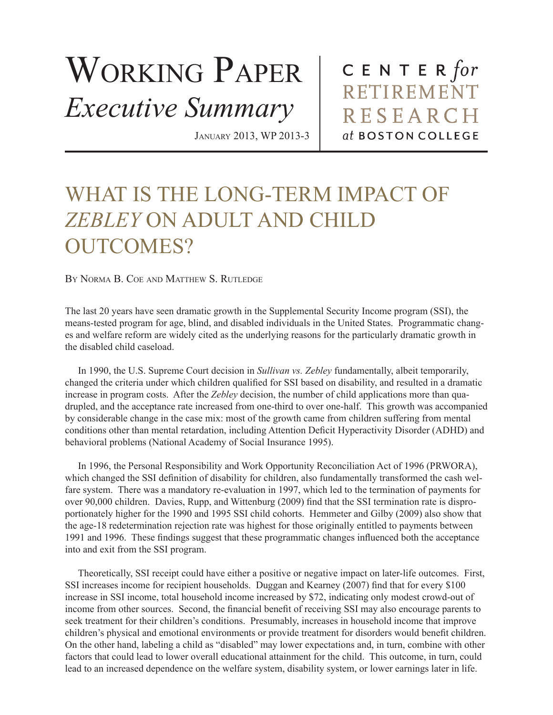## WORKING PAPER *Executive Summary*

January 2013, WP 2013-3

CENTER for RETIREMENT **RESEARCH** at BOSTON COLLEGE

## WHAT IS THE LONG-TERM IMPACT OF *ZEBLEY* ON ADULT AND CHILD OUTCOMES?

By Norma B. Coe and Matthew S. Rutledge

The last 20 years have seen dramatic growth in the Supplemental Security Income program (SSI), the means-tested program for age, blind, and disabled individuals in the United States. Programmatic changes and welfare reform are widely cited as the underlying reasons for the particularly dramatic growth in the disabled child caseload.

In 1990, the U.S. Supreme Court decision in *Sullivan vs. Zebley* fundamentally, albeit temporarily, changed the criteria under which children qualified for SSI based on disability, and resulted in a dramatic increase in program costs. After the *Zebley* decision, the number of child applications more than quadrupled, and the acceptance rate increased from one-third to over one-half. This growth was accompanied by considerable change in the case mix: most of the growth came from children suffering from mental conditions other than mental retardation, including Attention Deficit Hyperactivity Disorder (ADHD) and behavioral problems (National Academy of Social Insurance 1995).

In 1996, the Personal Responsibility and Work Opportunity Reconciliation Act of 1996 (PRWORA), which changed the SSI definition of disability for children, also fundamentally transformed the cash welfare system. There was a mandatory re-evaluation in 1997, which led to the termination of payments for over 90,000 children. Davies, Rupp, and Wittenburg (2009) find that the SSI termination rate is disproportionately higher for the 1990 and 1995 SSI child cohorts. Hemmeter and Gilby (2009) also show that the age-18 redetermination rejection rate was highest for those originally entitled to payments between 1991 and 1996. These findings suggest that these programmatic changes influenced both the acceptance into and exit from the SSI program.

Theoretically, SSI receipt could have either a positive or negative impact on later-life outcomes. First, SSI increases income for recipient households. Duggan and Kearney (2007) find that for every \$100 increase in SSI income, total household income increased by \$72, indicating only modest crowd-out of income from other sources. Second, the financial benefit of receiving SSI may also encourage parents to seek treatment for their children's conditions. Presumably, increases in household income that improve children's physical and emotional environments or provide treatment for disorders would benefit children. On the other hand, labeling a child as "disabled" may lower expectations and, in turn, combine with other factors that could lead to lower overall educational attainment for the child. This outcome, in turn, could lead to an increased dependence on the welfare system, disability system, or lower earnings later in life.